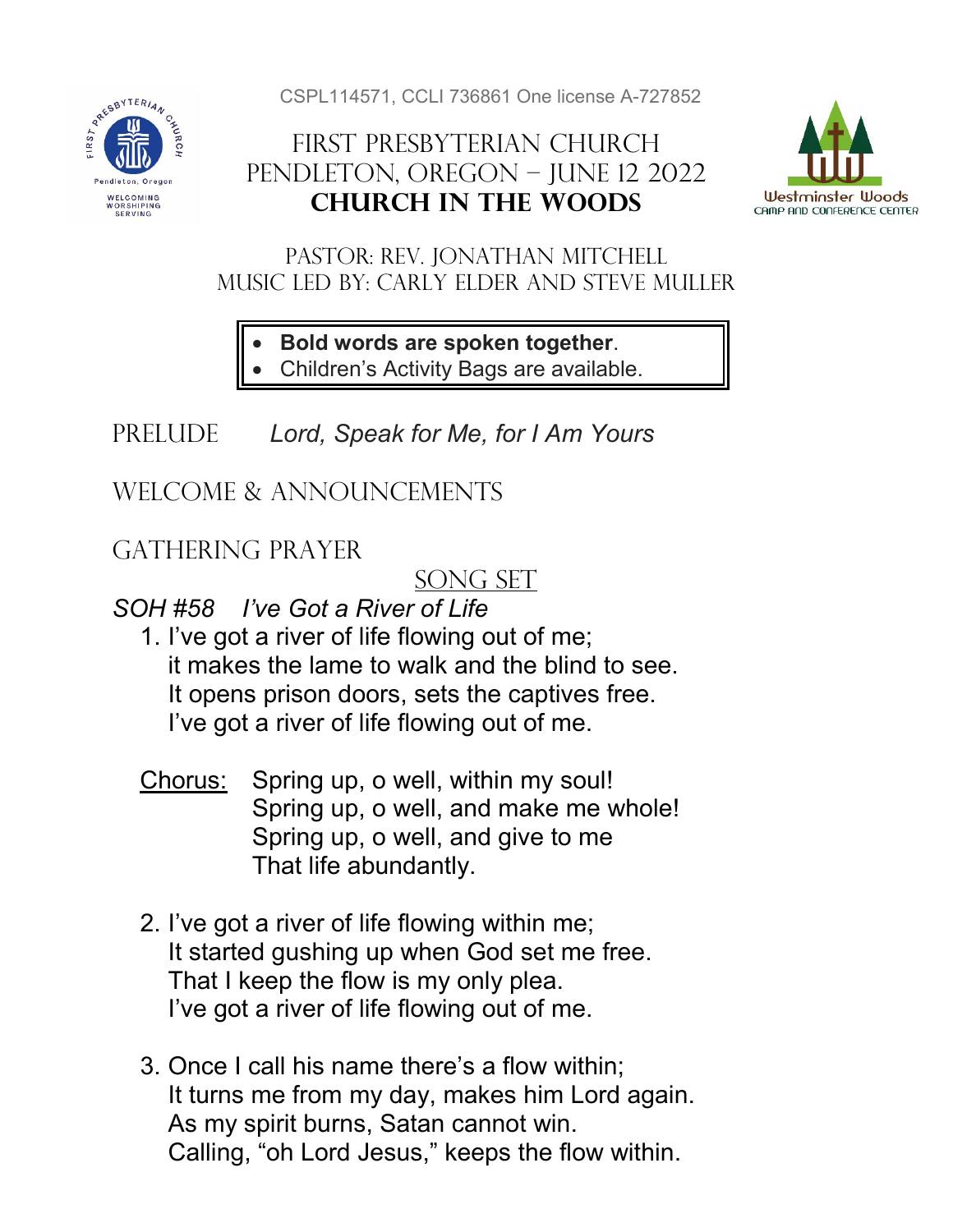RESBYTERIANCE  $FIRST$ WORSHIPING<br>SERVING

CSPL114571, CCLI 736861 One license A-727852

## First Presbyterian Church Pendleton, Oregon – June 12 2022 **Church in the Woods**



Pastor: Rev. Jonathan Mitchell Music Led by: Carly Elder and Steve muller

• **Bold words are spoken together**.

• Children's Activity Bags are available.

PRELUDE *Lord, Speak for Me, for I Am Yours*

WELCOME & ANNOUNCEMENTS

## GATHERING PRAYER

## SONG SET

*SOH #58 I've Got a River of Life*

- 1. I've got a river of life flowing out of me; it makes the lame to walk and the blind to see. It opens prison doors, sets the captives free. I've got a river of life flowing out of me.
- Chorus: Spring up, o well, within my soul! Spring up, o well, and make me whole! Spring up, o well, and give to me That life abundantly.
- 2. I've got a river of life flowing within me; It started gushing up when God set me free. That I keep the flow is my only plea. I've got a river of life flowing out of me.
- 3. Once I call his name there's a flow within; It turns me from my day, makes him Lord again. As my spirit burns, Satan cannot win. Calling, "oh Lord Jesus," keeps the flow within.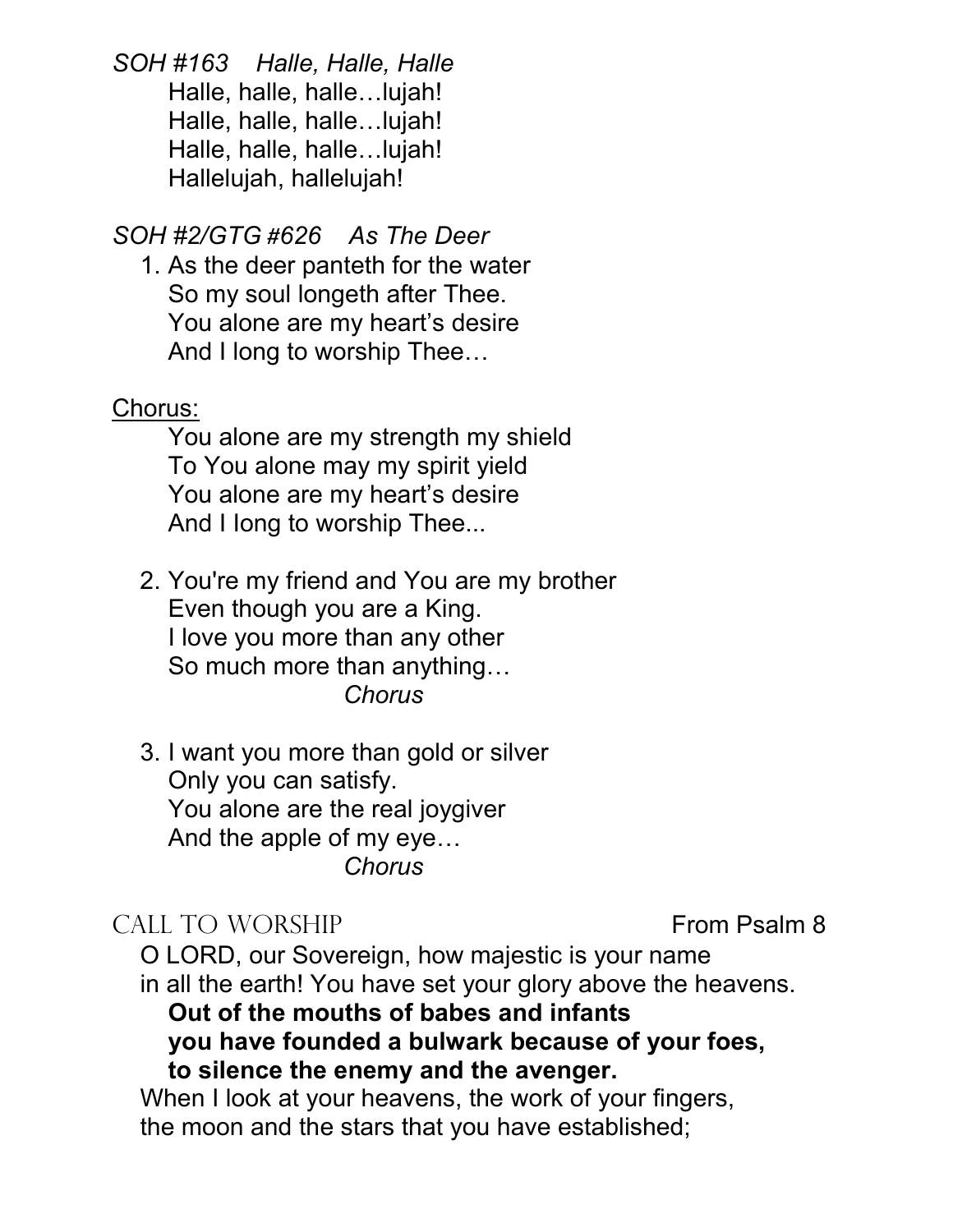*SOH #163 Halle, Halle, Halle* Halle, halle, halle…lujah! Halle, halle, halle…lujah! Halle, halle, halle…lujah! Hallelujah, hallelujah!

### *SOH #2/GTG #626 As The Deer*

1. As the deer panteth for the water So my soul longeth after Thee. You alone are my heart's desire And I long to worship Thee…

### Chorus:

You alone are my strength my shield To You alone may my spirit yield You alone are my heart's desire And I long to worship Thee...

- 2. You're my friend and You are my brother Even though you are a King. I love you more than any other So much more than anything… *Chorus*
- 3. I want you more than gold or silver Only you can satisfy. You alone are the real joygiver And the apple of my eye… *Chorus*

## CALL TO WORSHIP From Psalm 8

O LORD, our Sovereign, how majestic is your name

in all the earth! You have set your glory above the heavens. **Out of the mouths of babes and infants you have founded a bulwark because of your foes, to silence the enemy and the avenger.**

When I look at your heavens, the work of your fingers, the moon and the stars that you have established;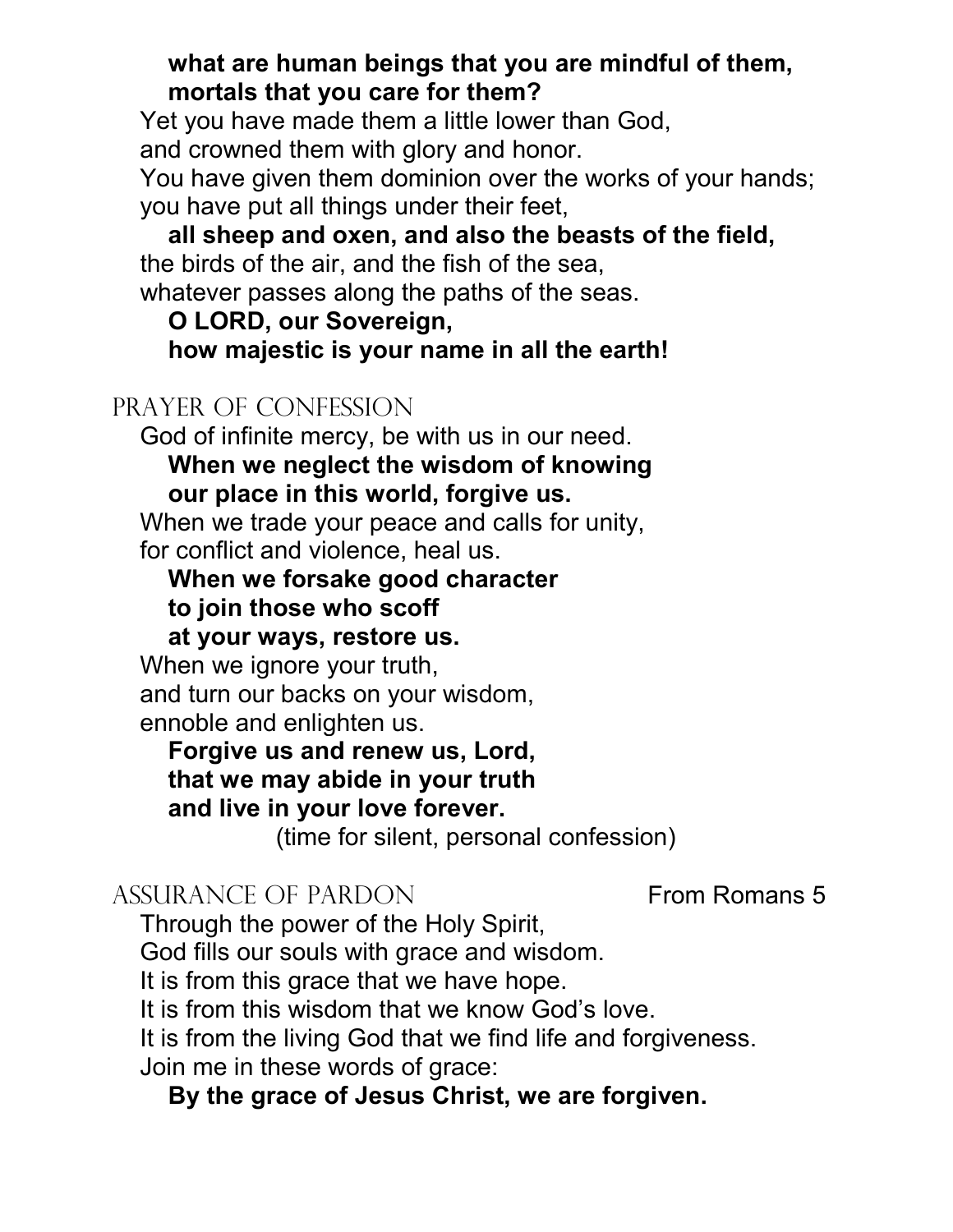#### **what are human beings that you are mindful of them, mortals that you care for them?**

Yet you have made them a little lower than God, and crowned them with glory and honor.

You have given them dominion over the works of your hands; you have put all things under their feet,

**all sheep and oxen, and also the beasts of the field,** the birds of the air, and the fish of the sea, whatever passes along the paths of the seas.

### **O LORD, our Sovereign,**

**how majestic is your name in all the earth!**

### PRAYER OF CONFESSION

God of infinite mercy, be with us in our need.

#### **When we neglect the wisdom of knowing our place in this world, forgive us.**

When we trade your peace and calls for unity, for conflict and violence, heal us.

### **When we forsake good character to join those who scoff**

#### **at your ways, restore us.**

When we ignore your truth, and turn our backs on your wisdom, ennoble and enlighten us.

#### **Forgive us and renew us, Lord, that we may abide in your truth and live in your love forever.**

(time for silent, personal confession)

## ASSURANCE OF PARDON From Romans 5

Through the power of the Holy Spirit, God fills our souls with grace and wisdom. It is from this grace that we have hope. It is from this wisdom that we know God's love. It is from the living God that we find life and forgiveness. Join me in these words of grace:

## **By the grace of Jesus Christ, we are forgiven.**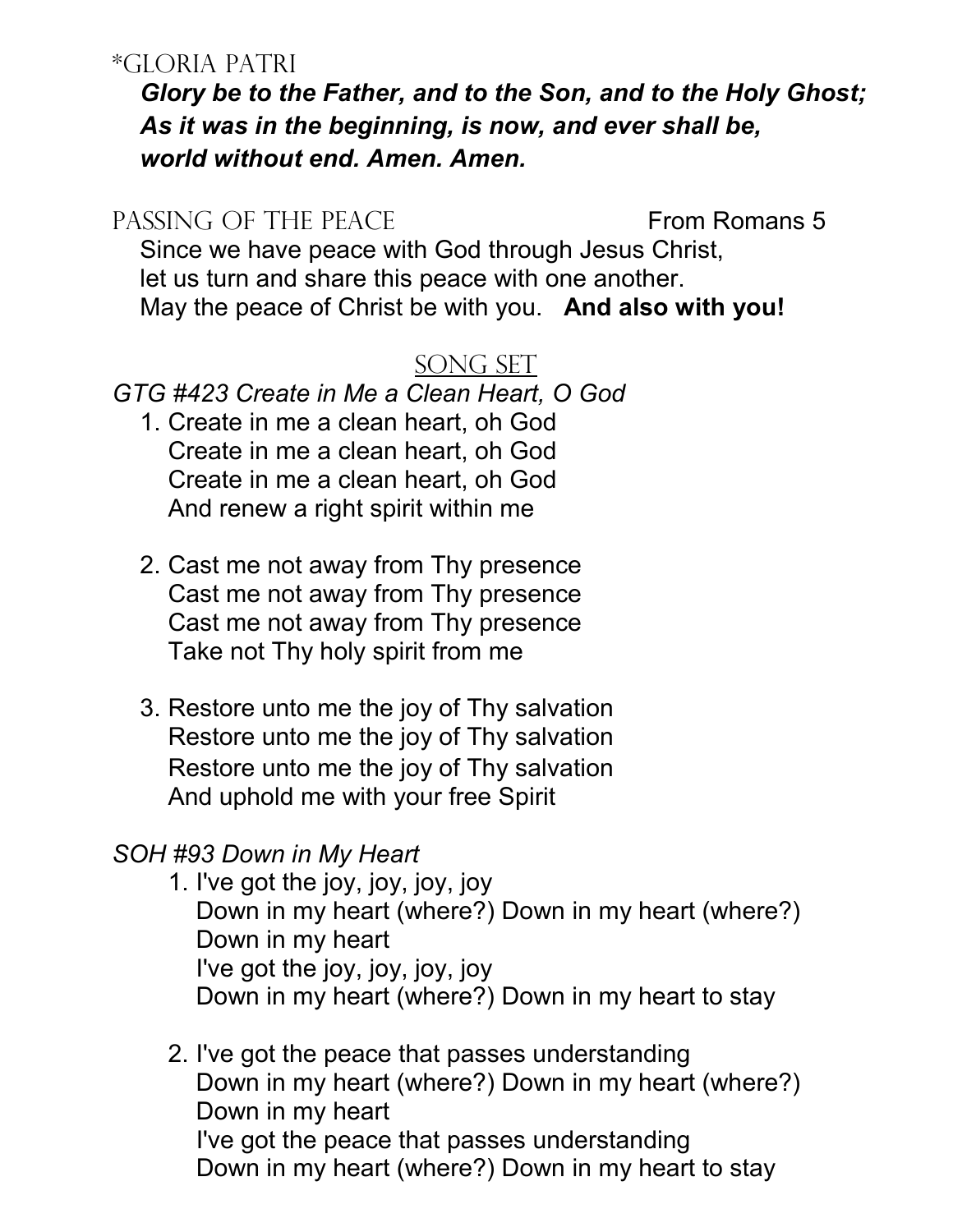## \*GLORIA PATRI

*Glory be to the Father, and to the Son, and to the Holy Ghost; As it was in the beginning, is now, and ever shall be, world without end. Amen. Amen.*

PASSING OF THE PEACE From Romans 5 Since we have peace with God through Jesus Christ,

let us turn and share this peace with one another. May the peace of Christ be with you. **And also with you!**

## SONG SET

*GTG #423 Create in Me a Clean Heart, O God*

- 1. Create in me a clean heart, oh God Create in me a clean heart, oh God Create in me a clean heart, oh God And renew a right spirit within me
- 2. Cast me not away from Thy presence Cast me not away from Thy presence Cast me not away from Thy presence Take not Thy holy spirit from me
- 3. Restore unto me the joy of Thy salvation Restore unto me the joy of Thy salvation Restore unto me the joy of Thy salvation And uphold me with your free Spirit

## *SOH #93 Down in My Heart*

- 1. I've got the joy, joy, joy, joy Down in my heart (where?) Down in my heart (where?) Down in my heart I've got the joy, joy, joy, joy Down in my heart (where?) Down in my heart to stay
- 2. I've got the peace that passes understanding Down in my heart (where?) Down in my heart (where?) Down in my heart I've got the peace that passes understanding Down in my heart (where?) Down in my heart to stay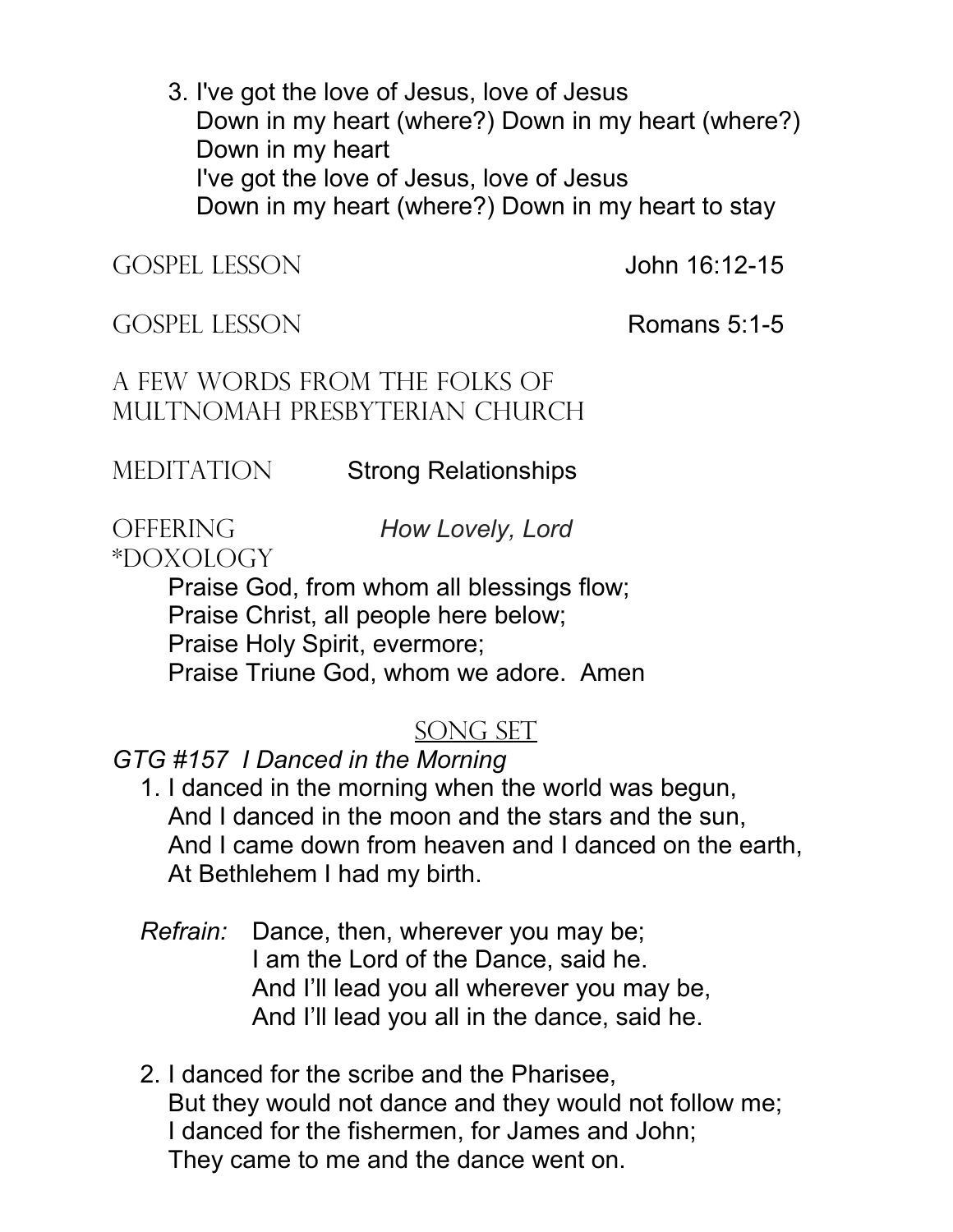3. I've got the love of Jesus, love of Jesus Down in my heart (where?) Down in my heart (where?) Down in my heart I've got the love of Jesus, love of Jesus Down in my heart (where?) Down in my heart to stay

GOSPEL LESSON John 16:12-15

GOSPEL LESSON Romans 5:1-5

## A FEW WORDS FROM THE FOLKS OF MULTNOMAH PRESBYTERIAN CHURCH

MEDITATION Strong Relationships

OFFERING *How Lovely, Lord* \*DOXOLOGY

> Praise God, from whom all blessings flow; Praise Christ, all people here below; Praise Holy Spirit, evermore; Praise Triune God, whom we adore. Amen

# SONG SET

## *GTG #157 I Danced in the Morning*

- 1. I danced in the morning when the world was begun, And I danced in the moon and the stars and the sun, And I came down from heaven and I danced on the earth, At Bethlehem I had my birth.
- *Refrain:* Dance, then, wherever you may be; I am the Lord of the Dance, said he. And I'll lead you all wherever you may be, And I'll lead you all in the dance, said he.
- 2. I danced for the scribe and the Pharisee, But they would not dance and they would not follow me; I danced for the fishermen, for James and John; They came to me and the dance went on.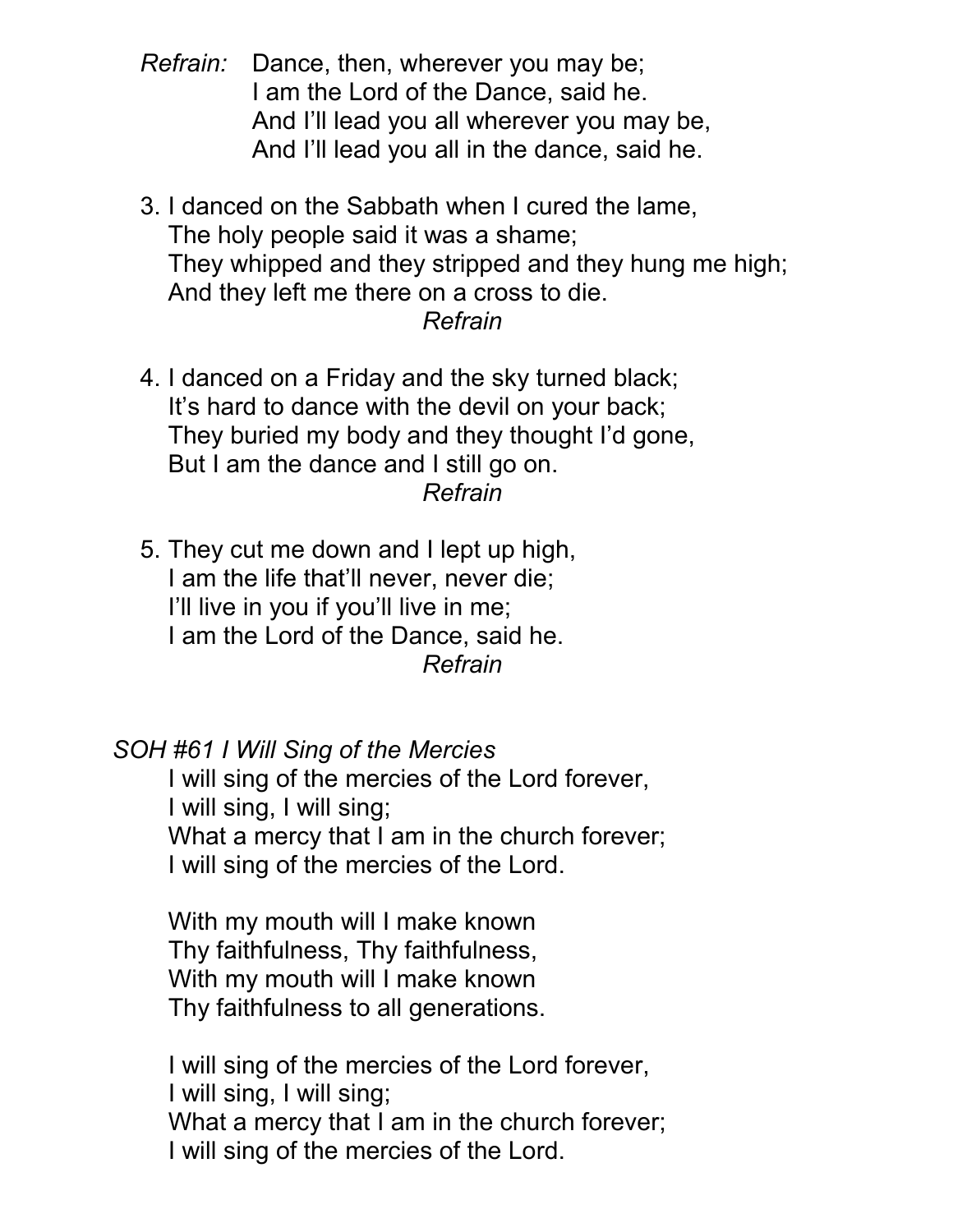- *Refrain:* Dance, then, wherever you may be; I am the Lord of the Dance, said he. And I'll lead you all wherever you may be, And I'll lead you all in the dance, said he.
- 3. I danced on the Sabbath when I cured the lame, The holy people said it was a shame; They whipped and they stripped and they hung me high; And they left me there on a cross to die.

### *Refrain*

- 4. I danced on a Friday and the sky turned black; It's hard to dance with the devil on your back; They buried my body and they thought I'd gone, But I am the dance and I still go on. *Refrain*
- 5. They cut me down and I lept up high, I am the life that'll never, never die; I'll live in you if you'll live in me; I am the Lord of the Dance, said he. *Refrain*
- *SOH #61 I Will Sing of the Mercies*

I will sing of the mercies of the Lord forever, I will sing, I will sing; What a mercy that I am in the church forever; I will sing of the mercies of the Lord.

With my mouth will I make known Thy faithfulness, Thy faithfulness, With my mouth will I make known Thy faithfulness to all generations.

I will sing of the mercies of the Lord forever, I will sing, I will sing; What a mercy that I am in the church forever; I will sing of the mercies of the Lord.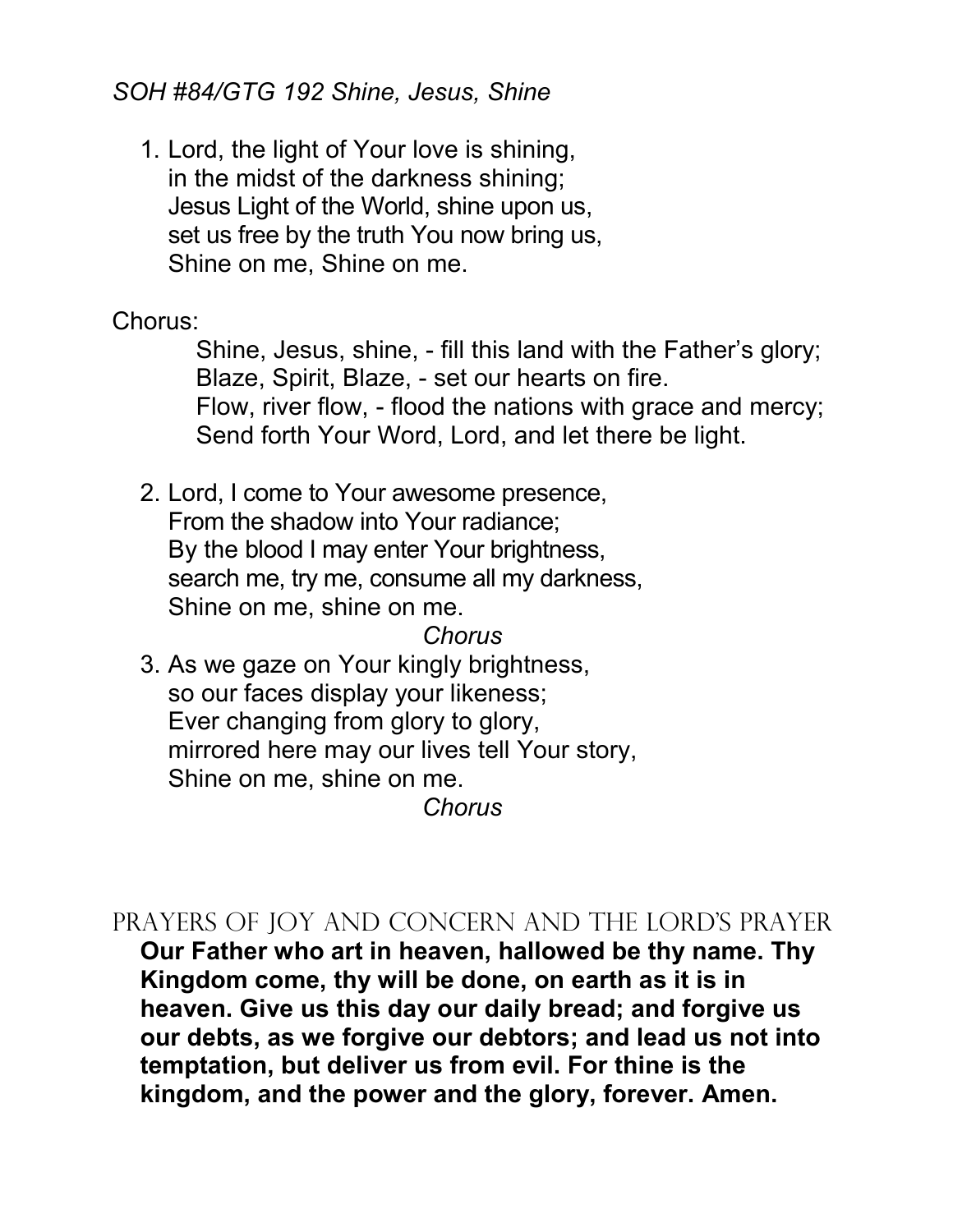1. Lord, the light of Your love is shining, in the midst of the darkness shining; Jesus Light of the World, shine upon us, set us free by the truth You now bring us, Shine on me, Shine on me.

## Chorus:

Shine, Jesus, shine, - fill this land with the Father's glory; Blaze, Spirit, Blaze, - set our hearts on fire. Flow, river flow, - flood the nations with grace and mercy; Send forth Your Word, Lord, and let there be light.

2. Lord, I come to Your awesome presence, From the shadow into Your radiance; By the blood I may enter Your brightness, search me, try me, consume all my darkness, Shine on me, shine on me.

*Chorus* 3. As we gaze on Your kingly brightness, so our faces display your likeness; Ever changing from glory to glory, mirrored here may our lives tell Your story, Shine on me, shine on me.

*Chorus*

PRAYERS OF JOY AND CONCERN AND THE LORD'S PRAYER

**Our Father who art in heaven, hallowed be thy name. Thy Kingdom come, thy will be done, on earth as it is in heaven. Give us this day our daily bread; and forgive us our debts, as we forgive our debtors; and lead us not into temptation, but deliver us from evil. For thine is the kingdom, and the power and the glory, forever. Amen.**